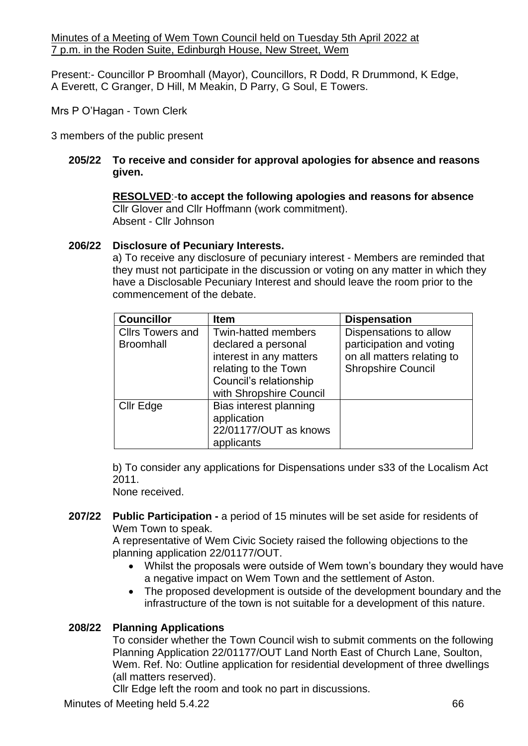Minutes of a Meeting of Wem Town Council held on Tuesday 5th April 2022 at 7 p.m. in the Roden Suite, Edinburgh House, New Street, Wem

Present:- Councillor P Broomhall (Mayor), Councillors, R Dodd, R Drummond, K Edge, A Everett, C Granger, D Hill, M Meakin, D Parry, G Soul, E Towers.

Mrs P O'Hagan - Town Clerk

3 members of the public present

# **205/22 To receive and consider for approval apologies for absence and reasons given.**

**RESOLVED**:-**to accept the following apologies and reasons for absence** Cllr Glover and Cllr Hoffmann (work commitment). Absent - Cllr Johnson

# **206/22 Disclosure of Pecuniary Interests.**

a) To receive any disclosure of pecuniary interest - Members are reminded that they must not participate in the discussion or voting on any matter in which they have a Disclosable Pecuniary Interest and should leave the room prior to the commencement of the debate.

| <b>Councillor</b>       | <b>Item</b>                | <b>Dispensation</b>        |
|-------------------------|----------------------------|----------------------------|
| <b>Cllrs Towers and</b> | <b>Twin-hatted members</b> | Dispensations to allow     |
| <b>Broomhall</b>        | declared a personal        | participation and voting   |
|                         | interest in any matters    | on all matters relating to |
|                         | relating to the Town       | <b>Shropshire Council</b>  |
|                         | Council's relationship     |                            |
|                         | with Shropshire Council    |                            |
| <b>Cllr Edge</b>        | Bias interest planning     |                            |
|                         | application                |                            |
|                         | 22/01177/OUT as knows      |                            |
|                         | applicants                 |                            |

b) To consider any applications for Dispensations under s33 of the Localism Act 2011.

None received.

**207/22 Public Participation -** a period of 15 minutes will be set aside for residents of Wem Town to speak.

A representative of Wem Civic Society raised the following objections to the planning application 22/01177/OUT.

- Whilst the proposals were outside of Wem town's boundary they would have a negative impact on Wem Town and the settlement of Aston.
- The proposed development is outside of the development boundary and the infrastructure of the town is not suitable for a development of this nature.

# **208/22 Planning Applications**

To consider whether the Town Council wish to submit comments on the following Planning Application 22/01177/OUT Land North East of Church Lane, Soulton, Wem. Ref. No: Outline application for residential development of three dwellings (all matters reserved).

Cllr Edge left the room and took no part in discussions.